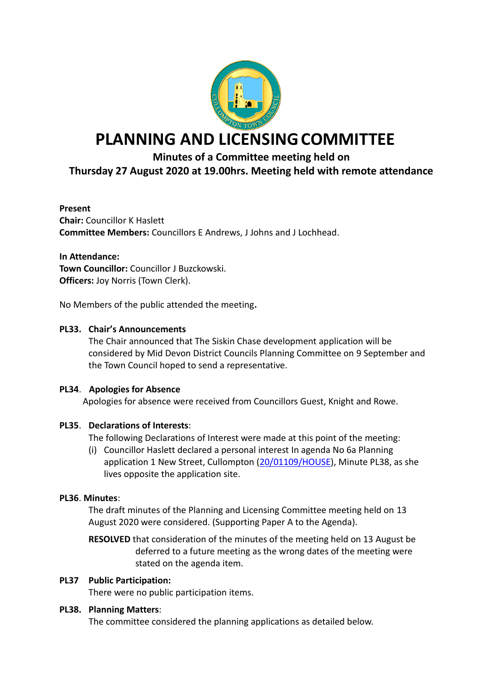

# **PLANNING AND LICENSINGCOMMITTEE**

# **Minutes of a Committee meeting held on**

# **Thursday 27 August 2020 at 19.00hrs. Meeting held with remote attendance**

#### **Present**

**Chair:** Councillor K Haslett **Committee Members:** Councillors E Andrews, J Johns and J Lochhead.

**In Attendance: Town Councillor:** Councillor J Buzckowski. **Officers: Joy Norris (Town Clerk).** 

No Members of the public attended the meeting**.**

#### **PL33. Chair's Announcements**

The Chair announced that The Siskin Chase development application will be considered by Mid Devon District Councils Planning Committee on 9 September and the Town Council hoped to send a representative.

#### **PL34**. **Apologies for Absence**

Apologies for absence were received from Councillors Guest, Knight and Rowe.

## **PL35**. **Declarations of Interests**:

The following Declarations of Interest were made at this point of the meeting:

(i) Councillor Haslett declared a personal interest In agenda No 6a Planning application 1 New Street, Cullompton [\(20/01109/HOUSE\)](https://planning.middevon.gov.uk/online-applications/applicationDetails.do?activeTab=documents&keyVal=QDTT66KS05K00), Minute PL38, as she lives opposite the application site.

## **PL36**. **Minutes**:

The draft minutes of the Planning and Licensing Committee meeting held on 13 August 2020 were considered. (Supporting Paper A to the Agenda).

**RESOLVED** that consideration of the minutes of the meeting held on 13 August be deferred to a future meeting as the wrong dates of the meeting were stated on the agenda item.

#### **PL37 Public Participation:**

There were no public participation items.

#### **PL38. Planning Matters**:

The committee considered the planning applications as detailed below.